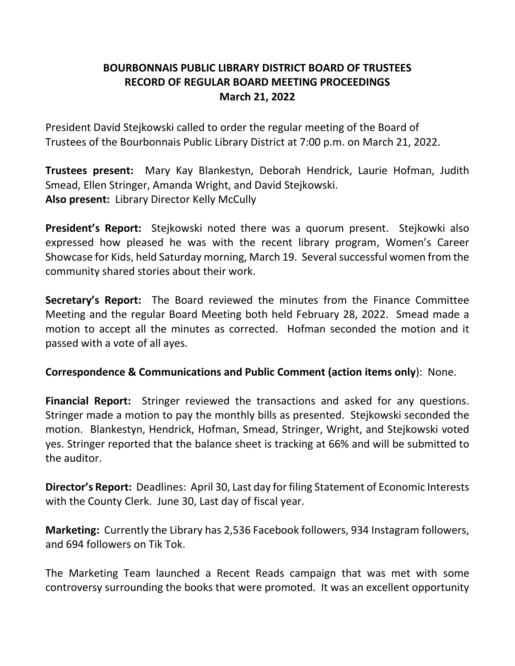# **BOURBONNAIS PUBLIC LIBRARY DISTRICT BOARD OF TRUSTEES RECORD OF REGULAR BOARD MEETING PROCEEDINGS March 21, 2022**

President David Stejkowski called to order the regular meeting of the Board of Trustees of the Bourbonnais Public Library District at 7:00 p.m. on March 21, 2022.

**Trustees present:** Mary Kay Blankestyn, Deborah Hendrick, Laurie Hofman, Judith Smead, Ellen Stringer, Amanda Wright, and David Stejkowski. **Also present:** Library Director Kelly McCully

**President's Report:** Stejkowski noted there was a quorum present. Stejkowki also expressed how pleased he was with the recent library program, Women's Career Showcase for Kids, held Saturday morning, March 19. Several successful women from the community shared stories about their work.

**Secretary's Report:** The Board reviewed the minutes from the Finance Committee Meeting and the regular Board Meeting both held February 28, 2022. Smead made a motion to accept all the minutes as corrected. Hofman seconded the motion and it passed with a vote of all ayes.

## **Correspondence & Communications and Public Comment (action items only**): None.

**Financial Report:** Stringer reviewed the transactions and asked for any questions. Stringer made a motion to pay the monthly bills as presented. Stejkowski seconded the motion. Blankestyn, Hendrick, Hofman, Smead, Stringer, Wright, and Stejkowski voted yes. Stringer reported that the balance sheet is tracking at 66% and will be submitted to the auditor.

**Director's Report:** Deadlines: April 30, Last day for filing Statement of Economic Interests with the County Clerk. June 30, Last day of fiscal year.

**Marketing:** Currently the Library has 2,536 Facebook followers, 934 Instagram followers, and 694 followers on Tik Tok.

The Marketing Team launched a Recent Reads campaign that was met with some controversy surrounding the books that were promoted. It was an excellent opportunity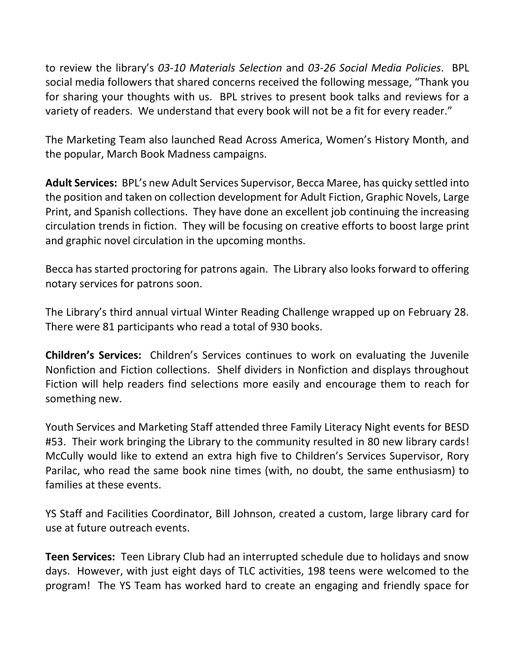to review the library's *03-10 Materials Selection* and *03-26 Social Media Policies*. BPL social media followers that shared concerns received the following message, "Thank you for sharing your thoughts with us. BPL strives to present book talks and reviews for a variety of readers. We understand that every book will not be a fit for every reader."

The Marketing Team also launched Read Across America, Women's History Month, and the popular, March Book Madness campaigns.

**Adult Services:** BPL's new Adult Services Supervisor, Becca Maree, has quicky settled into the position and taken on collection development for Adult Fiction, Graphic Novels, Large Print, and Spanish collections. They have done an excellent job continuing the increasing circulation trends in fiction. They will be focusing on creative efforts to boost large print and graphic novel circulation in the upcoming months.

Becca has started proctoring for patrons again. The Library also looks forward to offering notary services for patrons soon.

The Library's third annual virtual Winter Reading Challenge wrapped up on February 28. There were 81 participants who read a total of 930 books.

**Children's Services:** Children's Services continues to work on evaluating the Juvenile Nonfiction and Fiction collections. Shelf dividers in Nonfiction and displays throughout Fiction will help readers find selections more easily and encourage them to reach for something new.

Youth Services and Marketing Staff attended three Family Literacy Night events for BESD #53. Their work bringing the Library to the community resulted in 80 new library cards! McCully would like to extend an extra high five to Children's Services Supervisor, Rory Parilac, who read the same book nine times (with, no doubt, the same enthusiasm) to families at these events.

YS Staff and Facilities Coordinator, Bill Johnson, created a custom, large library card for use at future outreach events.

**Teen Services:** Teen Library Club had an interrupted schedule due to holidays and snow days. However, with just eight days of TLC activities, 198 teens were welcomed to the program! The YS Team has worked hard to create an engaging and friendly space for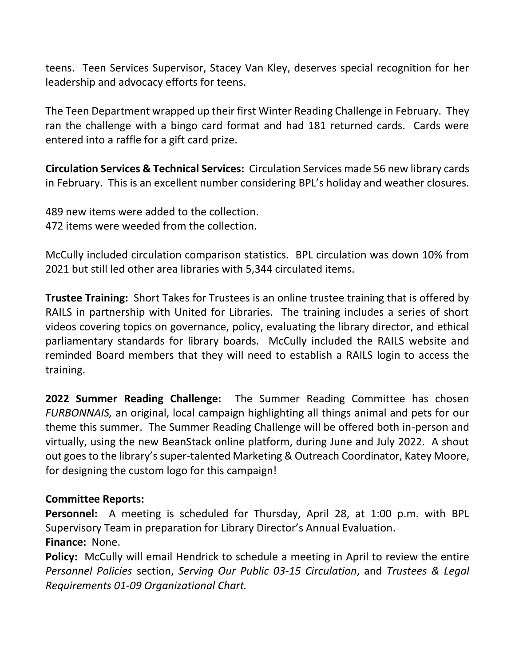teens. Teen Services Supervisor, Stacey Van Kley, deserves special recognition for her leadership and advocacy efforts for teens.

The Teen Department wrapped up their first Winter Reading Challenge in February. They ran the challenge with a bingo card format and had 181 returned cards. Cards were entered into a raffle for a gift card prize.

**Circulation Services & Technical Services:** Circulation Services made 56 new library cards in February. This is an excellent number considering BPL's holiday and weather closures.

489 new items were added to the collection. 472 items were weeded from the collection.

McCully included circulation comparison statistics. BPL circulation was down 10% from 2021 but still led other area libraries with 5,344 circulated items.

**Trustee Training:** Short Takes for Trustees is an online trustee training that is offered by RAILS in partnership with United for Libraries. The training includes a series of short videos covering topics on governance, policy, evaluating the library director, and ethical parliamentary standards for library boards. McCully included the RAILS website and reminded Board members that they will need to establish a RAILS login to access the training.

**2022 Summer Reading Challenge:** The Summer Reading Committee has chosen *FURBONNAIS,* an original, local campaign highlighting all things animal and pets for our theme this summer. The Summer Reading Challenge will be offered both in-person and virtually, using the new BeanStack online platform, during June and July 2022. A shout out goes to the library's super-talented Marketing & Outreach Coordinator, Katey Moore, for designing the custom logo for this campaign!

## **Committee Reports:**

**Personnel:** A meeting is scheduled for Thursday, April 28, at 1:00 p.m. with BPL Supervisory Team in preparation for Library Director's Annual Evaluation. **Finance:** None.

**Policy:** McCully will email Hendrick to schedule a meeting in April to review the entire *Personnel Policies* section, *Serving Our Public 03-15 Circulation*, and *Trustees & Legal Requirements 01-09 Organizational Chart.*